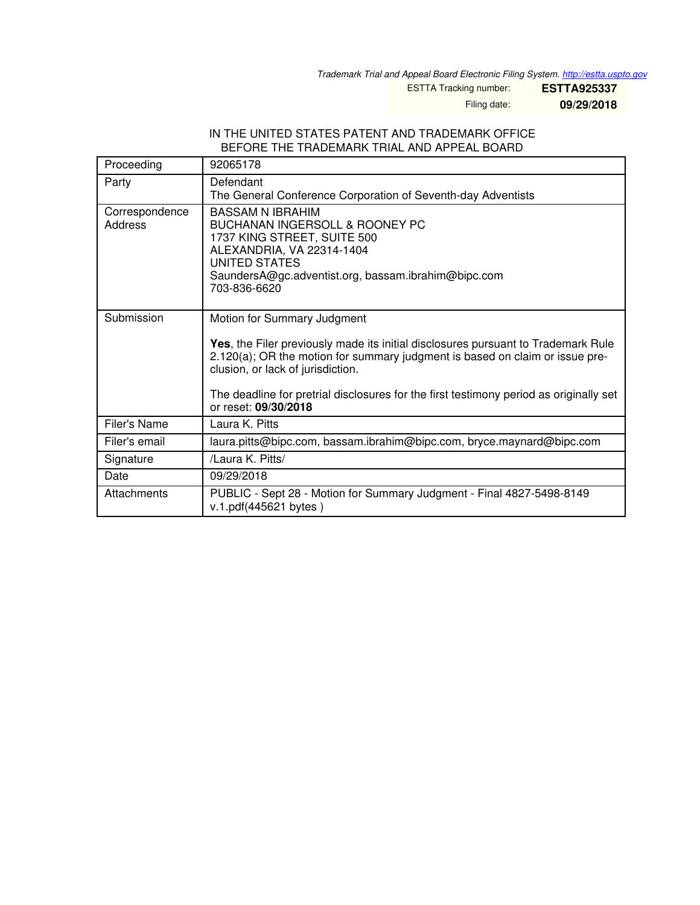*Trademark Trial and Appeal Board Electronic Filing System. <http://estta.uspto.gov>*

ESTTA Tracking number: **ESTTA925337**

Filing date: **09/29/2018**

### IN THE UNITED STATES PATENT AND TRADEMARK OFFICE BEFORE THE TRADEMARK TRIAL AND APPEAL BOARD

| Proceeding                | 92065178                                                                                                                                                                                                                                                                                                                                                |
|---------------------------|---------------------------------------------------------------------------------------------------------------------------------------------------------------------------------------------------------------------------------------------------------------------------------------------------------------------------------------------------------|
| Party                     | Defendant<br>The General Conference Corporation of Seventh-day Adventists                                                                                                                                                                                                                                                                               |
| Correspondence<br>Address | BASSAM N IBRAHIM<br><b>BUCHANAN INGERSOLL &amp; ROONEY PC</b><br>1737 KING STREET, SUITE 500<br>ALEXANDRIA, VA 22314-1404<br>UNITED STATES<br>SaundersA@gc.adventist.org, bassam.ibrahim@bipc.com<br>703-836-6620                                                                                                                                       |
| Submission                | Motion for Summary Judgment<br>Yes, the Filer previously made its initial disclosures pursuant to Trademark Rule<br>2.120(a); OR the motion for summary judgment is based on claim or issue pre-<br>clusion, or lack of jurisdiction.<br>The deadline for pretrial disclosures for the first testimony period as originally set<br>or reset: 09/30/2018 |
| Filer's Name              | Laura K. Pitts                                                                                                                                                                                                                                                                                                                                          |
| Filer's email             | laura.pitts@bipc.com, bassam.ibrahim@bipc.com, bryce.maynard@bipc.com                                                                                                                                                                                                                                                                                   |
| Signature                 | /Laura K. Pitts/                                                                                                                                                                                                                                                                                                                                        |
| Date                      | 09/29/2018                                                                                                                                                                                                                                                                                                                                              |
| Attachments               | PUBLIC - Sept 28 - Motion for Summary Judgment - Final 4827-5498-8149<br>v.1.pdf(445621 bytes)                                                                                                                                                                                                                                                          |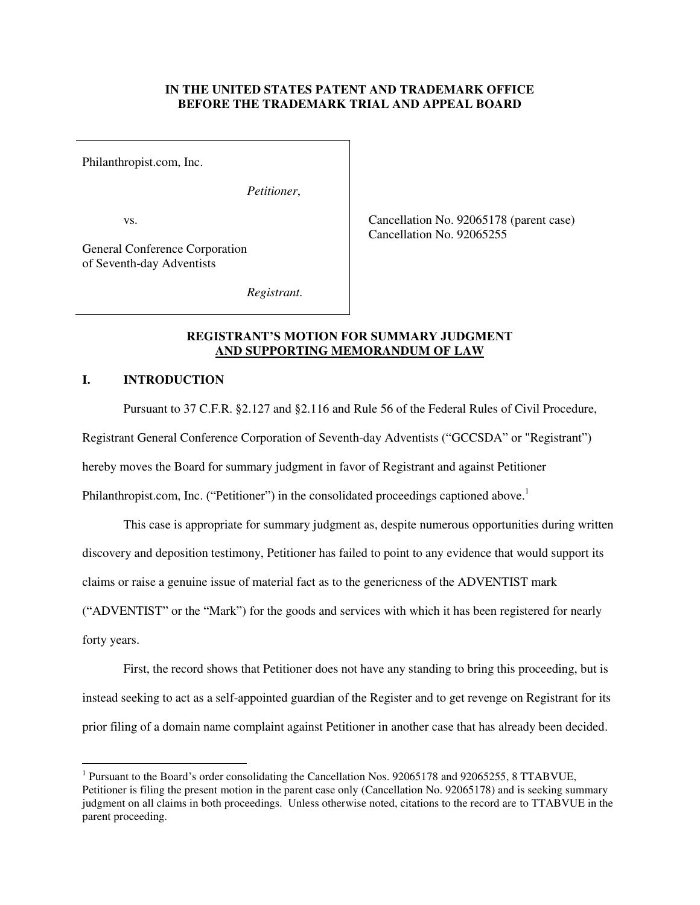### **IN THE UNITED STATES PATENT AND TRADEMARK OFFICE BEFORE THE TRADEMARK TRIAL AND APPEAL BOARD**

Philanthropist.com, Inc.

*Petitioner*,

vs.

 Cancellation No. 92065178 (parent case) Cancellation No. 92065255

General Conference Corporation of Seventh-day Adventists

 *Registrant*.

### **REGISTRANT'S MOTION FOR SUMMARY JUDGMENT AND SUPPORTING MEMORANDUM OF LAW**

# **I. INTRODUCTION**

Pursuant to 37 C.F.R. §2.127 and §2.116 and Rule 56 of the Federal Rules of Civil Procedure,

Registrant General Conference Corporation of Seventh-day Adventists ("GCCSDA" or "Registrant")

hereby moves the Board for summary judgment in favor of Registrant and against Petitioner

Philanthropist.com, Inc. ("Petitioner") in the consolidated proceedings captioned above.<sup>1</sup>

This case is appropriate for summary judgment as, despite numerous opportunities during written

discovery and deposition testimony, Petitioner has failed to point to any evidence that would support its

claims or raise a genuine issue of material fact as to the genericness of the ADVENTIST mark

("ADVENTIST" or the "Mark") for the goods and services with which it has been registered for nearly

forty years.

 $\overline{a}$ 

First, the record shows that Petitioner does not have any standing to bring this proceeding, but is instead seeking to act as a self-appointed guardian of the Register and to get revenge on Registrant for its prior filing of a domain name complaint against Petitioner in another case that has already been decided.

<sup>&</sup>lt;sup>1</sup> Pursuant to the Board's order consolidating the Cancellation Nos. 92065178 and 92065255, 8 TTABVUE, Petitioner is filing the present motion in the parent case only (Cancellation No. 92065178) and is seeking summary judgment on all claims in both proceedings. Unless otherwise noted, citations to the record are to TTABVUE in the parent proceeding.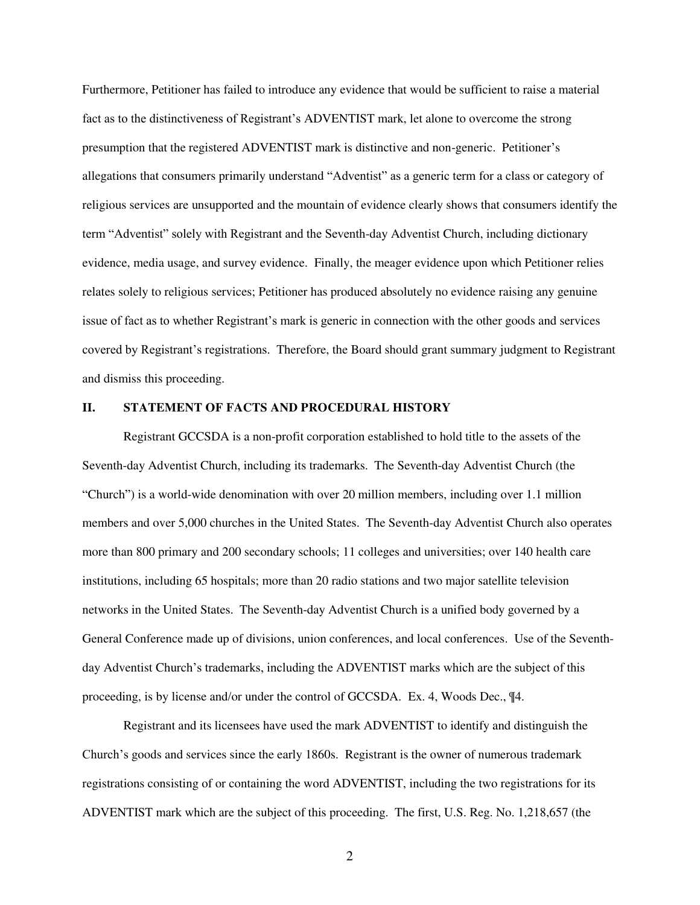Furthermore, Petitioner has failed to introduce any evidence that would be sufficient to raise a material fact as to the distinctiveness of Registrant's ADVENTIST mark, let alone to overcome the strong presumption that the registered ADVENTIST mark is distinctive and non-generic. Petitioner's allegations that consumers primarily understand "Adventist" as a generic term for a class or category of religious services are unsupported and the mountain of evidence clearly shows that consumers identify the term "Adventist" solely with Registrant and the Seventh-day Adventist Church, including dictionary evidence, media usage, and survey evidence. Finally, the meager evidence upon which Petitioner relies relates solely to religious services; Petitioner has produced absolutely no evidence raising any genuine issue of fact as to whether Registrant's mark is generic in connection with the other goods and services covered by Registrant's registrations. Therefore, the Board should grant summary judgment to Registrant and dismiss this proceeding.

### **II. STATEMENT OF FACTS AND PROCEDURAL HISTORY**

Registrant GCCSDA is a non-profit corporation established to hold title to the assets of the Seventh-day Adventist Church, including its trademarks. The Seventh-day Adventist Church (the "Church") is a world-wide denomination with over 20 million members, including over 1.1 million members and over 5,000 churches in the United States. The Seventh-day Adventist Church also operates more than 800 primary and 200 secondary schools; 11 colleges and universities; over 140 health care institutions, including 65 hospitals; more than 20 radio stations and two major satellite television networks in the United States. The Seventh-day Adventist Church is a unified body governed by a General Conference made up of divisions, union conferences, and local conferences. Use of the Seventhday Adventist Church's trademarks, including the ADVENTIST marks which are the subject of this proceeding, is by license and/or under the control of GCCSDA. Ex. 4, Woods Dec., ¶4.

 Registrant and its licensees have used the mark ADVENTIST to identify and distinguish the Church's goods and services since the early 1860s. Registrant is the owner of numerous trademark registrations consisting of or containing the word ADVENTIST, including the two registrations for its ADVENTIST mark which are the subject of this proceeding. The first, U.S. Reg. No. 1,218,657 (the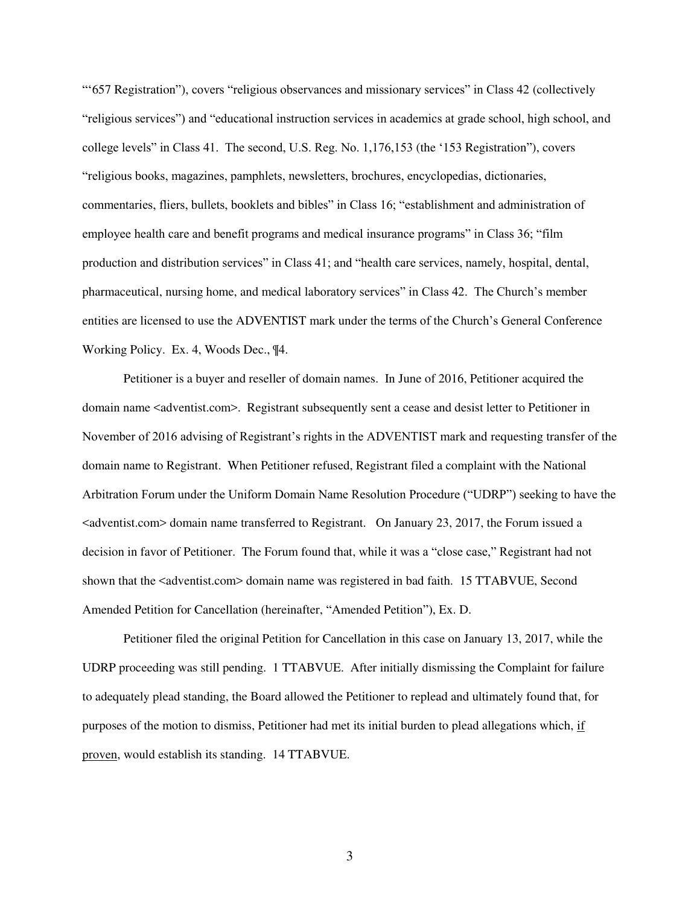"'657 Registration"), covers "religious observances and missionary services" in Class 42 (collectively "religious services") and "educational instruction services in academics at grade school, high school, and college levels" in Class 41. The second, U.S. Reg. No. 1,176,153 (the '153 Registration"), covers "religious books, magazines, pamphlets, newsletters, brochures, encyclopedias, dictionaries, commentaries, fliers, bullets, booklets and bibles" in Class 16; "establishment and administration of employee health care and benefit programs and medical insurance programs" in Class 36; "film production and distribution services" in Class 41; and "health care services, namely, hospital, dental, pharmaceutical, nursing home, and medical laboratory services" in Class 42. The Church's member entities are licensed to use the ADVENTIST mark under the terms of the Church's General Conference Working Policy. Ex. 4, Woods Dec., ¶4.

 Petitioner is a buyer and reseller of domain names. In June of 2016, Petitioner acquired the domain name <adventist.com>. Registrant subsequently sent a cease and desist letter to Petitioner in November of 2016 advising of Registrant's rights in the ADVENTIST mark and requesting transfer of the domain name to Registrant. When Petitioner refused, Registrant filed a complaint with the National Arbitration Forum under the Uniform Domain Name Resolution Procedure ("UDRP") seeking to have the  $\leq$  adventist.com  $\geq$  domain name transferred to Registrant. On January 23, 2017, the Forum issued a decision in favor of Petitioner. The Forum found that, while it was a "close case," Registrant had not shown that the <adventist.com> domain name was registered in bad faith. 15 TTABVUE, Second Amended Petition for Cancellation (hereinafter, "Amended Petition"), Ex. D.

 Petitioner filed the original Petition for Cancellation in this case on January 13, 2017, while the UDRP proceeding was still pending. 1 TTABVUE. After initially dismissing the Complaint for failure to adequately plead standing, the Board allowed the Petitioner to replead and ultimately found that, for purposes of the motion to dismiss, Petitioner had met its initial burden to plead allegations which, if proven, would establish its standing. 14 TTABVUE.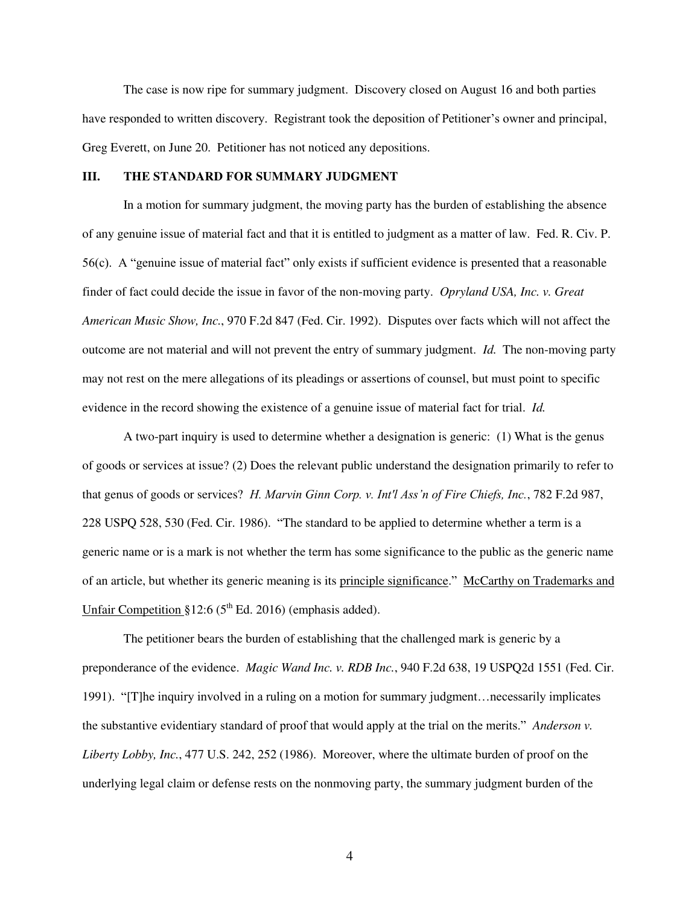The case is now ripe for summary judgment. Discovery closed on August 16 and both parties have responded to written discovery. Registrant took the deposition of Petitioner's owner and principal, Greg Everett, on June 20. Petitioner has not noticed any depositions.

### **III. THE STANDARD FOR SUMMARY JUDGMENT**

In a motion for summary judgment, the moving party has the burden of establishing the absence of any genuine issue of material fact and that it is entitled to judgment as a matter of law. Fed. R. Civ. P. 56(c). A "genuine issue of material fact" only exists if sufficient evidence is presented that a reasonable finder of fact could decide the issue in favor of the non-moving party. *Opryland USA, Inc. v. Great American Music Show, Inc.*, 970 F.2d 847 (Fed. Cir. 1992). Disputes over facts which will not affect the outcome are not material and will not prevent the entry of summary judgment. *Id.* The non-moving party may not rest on the mere allegations of its pleadings or assertions of counsel, but must point to specific evidence in the record showing the existence of a genuine issue of material fact for trial. *Id.*

A two-part inquiry is used to determine whether a designation is generic: (1) What is the genus of goods or services at issue? (2) Does the relevant public understand the designation primarily to refer to that genus of goods or services? *H. Marvin Ginn Corp. v. Int'l Ass'n of Fire Chiefs, Inc.*, 782 F.2d 987, 228 USPQ 528, 530 (Fed. Cir. 1986). "The standard to be applied to determine whether a term is a generic name or is a mark is not whether the term has some significance to the public as the generic name of an article, but whether its generic meaning is its principle significance." McCarthy on Trademarks and Unfair Competition  $§12:6$  ( $5<sup>th</sup>$  Ed. 2016) (emphasis added).

The petitioner bears the burden of establishing that the challenged mark is generic by a preponderance of the evidence. *Magic Wand Inc. v. RDB Inc.*, 940 F.2d 638, 19 USPQ2d 1551 (Fed. Cir. 1991). "[T]he inquiry involved in a ruling on a motion for summary judgment…necessarily implicates the substantive evidentiary standard of proof that would apply at the trial on the merits." *Anderson v. Liberty Lobby, Inc.*, 477 U.S. 242, 252 (1986). Moreover, where the ultimate burden of proof on the underlying legal claim or defense rests on the nonmoving party, the summary judgment burden of the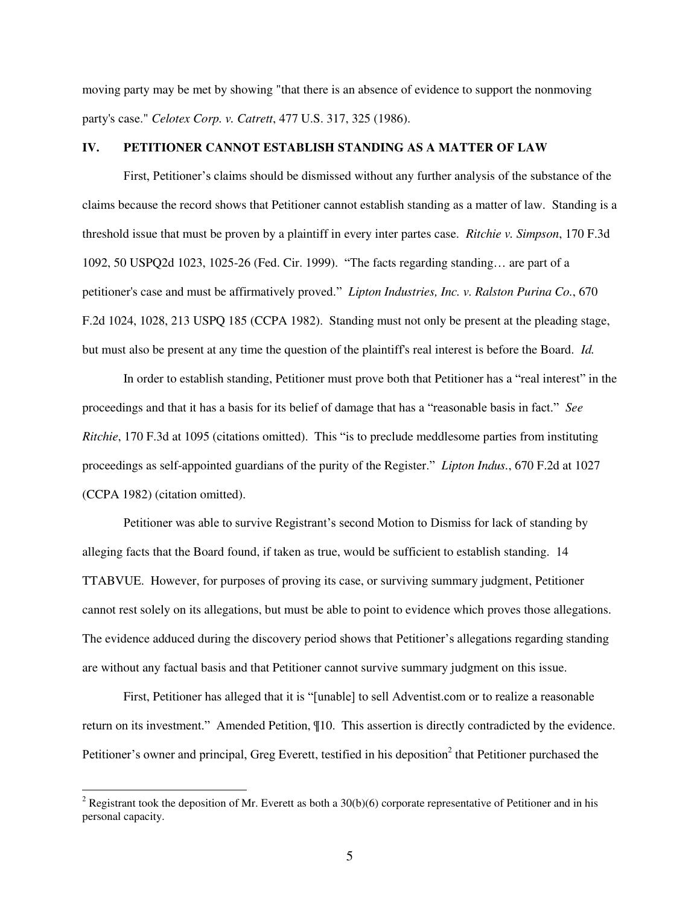moving party may be met by showing "that there is an absence of evidence to support the nonmoving party's case." *Celotex Corp. v. Catrett*, 477 U.S. 317, 325 (1986).

#### **IV. PETITIONER CANNOT ESTABLISH STANDING AS A MATTER OF LAW**

First, Petitioner's claims should be dismissed without any further analysis of the substance of the claims because the record shows that Petitioner cannot establish standing as a matter of law. Standing is a threshold issue that must be proven by a plaintiff in every inter partes case. *Ritchie v. Simpson*, 170 F.3d 1092, 50 USPQ2d 1023, 1025-26 (Fed. Cir. 1999). "The facts regarding standing… are part of a petitioner's case and must be affirmatively proved." *Lipton Industries, Inc. v. Ralston Purina Co.*, 670 F.2d 1024, 1028, 213 USPQ 185 (CCPA 1982). Standing must not only be present at the pleading stage, but must also be present at any time the question of the plaintiff's real interest is before the Board. *Id.* 

In order to establish standing, Petitioner must prove both that Petitioner has a "real interest" in the proceedings and that it has a basis for its belief of damage that has a "reasonable basis in fact." *See Ritchie*, 170 F.3d at 1095 (citations omitted). This "is to preclude meddlesome parties from instituting proceedings as self-appointed guardians of the purity of the Register." *Lipton Indus.*, 670 F.2d at 1027 (CCPA 1982) (citation omitted).

Petitioner was able to survive Registrant's second Motion to Dismiss for lack of standing by alleging facts that the Board found, if taken as true, would be sufficient to establish standing. 14 TTABVUE. However, for purposes of proving its case, or surviving summary judgment, Petitioner cannot rest solely on its allegations, but must be able to point to evidence which proves those allegations. The evidence adduced during the discovery period shows that Petitioner's allegations regarding standing are without any factual basis and that Petitioner cannot survive summary judgment on this issue.

First, Petitioner has alleged that it is "[unable] to sell Adventist.com or to realize a reasonable return on its investment." Amended Petition, ¶10. This assertion is directly contradicted by the evidence. Petitioner's owner and principal, Greg Everett, testified in his deposition<sup>2</sup> that Petitioner purchased the

<sup>&</sup>lt;sup>2</sup> Registrant took the deposition of Mr. Everett as both a  $30(b)(6)$  corporate representative of Petitioner and in his personal capacity.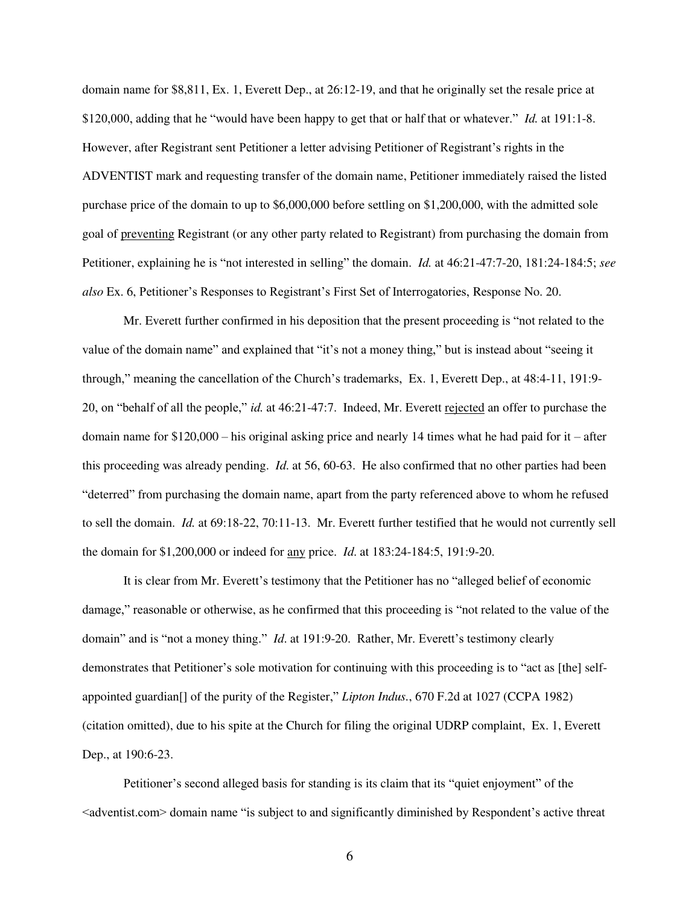domain name for \$8,811, Ex. 1, Everett Dep., at 26:12-19, and that he originally set the resale price at \$120,000, adding that he "would have been happy to get that or half that or whatever." *Id.* at 191:1-8. However, after Registrant sent Petitioner a letter advising Petitioner of Registrant's rights in the ADVENTIST mark and requesting transfer of the domain name, Petitioner immediately raised the listed purchase price of the domain to up to \$6,000,000 before settling on \$1,200,000, with the admitted sole goal of preventing Registrant (or any other party related to Registrant) from purchasing the domain from Petitioner, explaining he is "not interested in selling" the domain. *Id.* at 46:21-47:7-20, 181:24-184:5; *see also* Ex. 6, Petitioner's Responses to Registrant's First Set of Interrogatories, Response No. 20.

Mr. Everett further confirmed in his deposition that the present proceeding is "not related to the value of the domain name" and explained that "it's not a money thing," but is instead about "seeing it through," meaning the cancellation of the Church's trademarks, Ex. 1, Everett Dep., at 48:4-11, 191:9- 20, on "behalf of all the people," *id.* at 46:21-47:7. Indeed, Mr. Everett rejected an offer to purchase the domain name for  $$120,000 -$  his original asking price and nearly 14 times what he had paid for it – after this proceeding was already pending. *Id*. at 56, 60-63. He also confirmed that no other parties had been "deterred" from purchasing the domain name, apart from the party referenced above to whom he refused to sell the domain. *Id.* at 69:18-22, 70:11-13. Mr. Everett further testified that he would not currently sell the domain for \$1,200,000 or indeed for any price. *Id*. at 183:24-184:5, 191:9-20.

It is clear from Mr. Everett's testimony that the Petitioner has no "alleged belief of economic damage," reasonable or otherwise, as he confirmed that this proceeding is "not related to the value of the domain" and is "not a money thing." *Id*. at 191:9-20. Rather, Mr. Everett's testimony clearly demonstrates that Petitioner's sole motivation for continuing with this proceeding is to "act as [the] selfappointed guardian[] of the purity of the Register," *Lipton Indus.*, 670 F.2d at 1027 (CCPA 1982) (citation omitted), due to his spite at the Church for filing the original UDRP complaint, Ex. 1, Everett Dep., at 190:6-23.

Petitioner's second alleged basis for standing is its claim that its "quiet enjoyment" of the  $\leq$  adventist.com  $\geq$  domain name "is subject to and significantly diminished by Respondent's active threat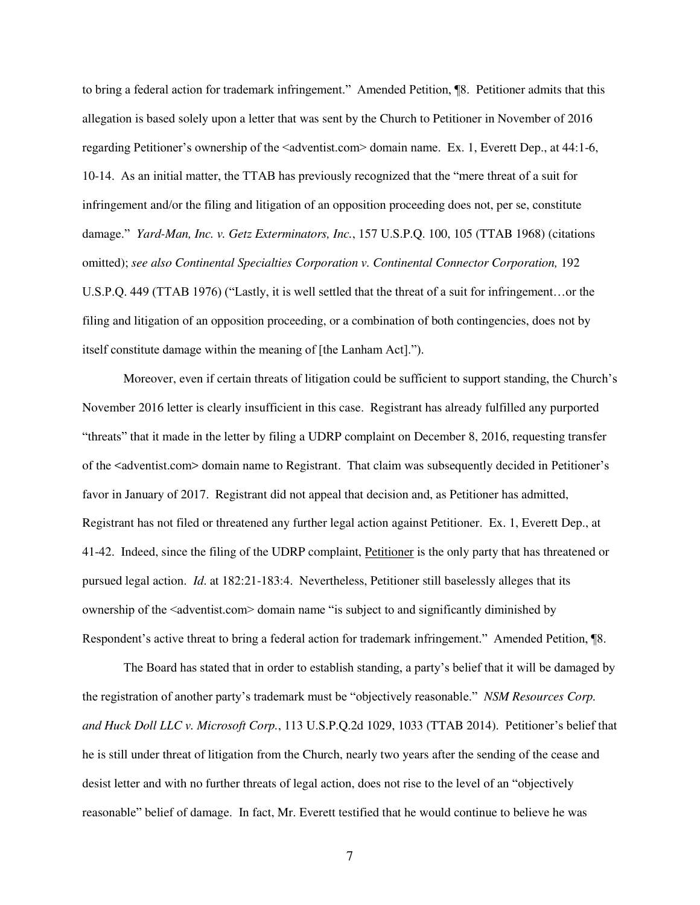to bring a federal action for trademark infringement." Amended Petition, ¶8. Petitioner admits that this allegation is based solely upon a letter that was sent by the Church to Petitioner in November of 2016 regarding Petitioner's ownership of the <adventist.com> domain name. Ex. 1, Everett Dep., at 44:1-6, 10-14. As an initial matter, the TTAB has previously recognized that the "mere threat of a suit for infringement and/or the filing and litigation of an opposition proceeding does not, per se, constitute damage." *Yard-Man, Inc. v. Getz Exterminators, Inc.*, 157 U.S.P.Q. 100, 105 (TTAB 1968) (citations omitted); see also Continental Specialties Corporation v. Continental Connector Corporation, 192 U.S.P.Q. 449 (TTAB 1976) ("Lastly, it is well settled that the threat of a suit for infringement…or the filing and litigation of an opposition proceeding, or a combination of both contingencies, does not by itself constitute damage within the meaning of [the Lanham Act].").

Moreover, even if certain threats of litigation could be sufficient to support standing, the Church's November 2016 letter is clearly insufficient in this case. Registrant has already fulfilled any purported "threats" that it made in the letter by filing a UDRP complaint on December 8, 2016, requesting transfer of the <adventist.com> domain name to Registrant. That claim was subsequently decided in Petitioner's favor in January of 2017. Registrant did not appeal that decision and, as Petitioner has admitted, Registrant has not filed or threatened any further legal action against Petitioner. Ex. 1, Everett Dep., at 41-42. Indeed, since the filing of the UDRP complaint, Petitioner is the only party that has threatened or pursued legal action. *Id*. at 182:21-183:4. Nevertheless, Petitioner still baselessly alleges that its ownership of the <adventist.com> domain name "is subject to and significantly diminished by Respondent's active threat to bring a federal action for trademark infringement." Amended Petition, ¶8.

The Board has stated that in order to establish standing, a party's belief that it will be damaged by the registration of another party's trademark must be "objectively reasonable." *NSM Resources Corp. and Huck Doll LLC v. Microsoft Corp.*, 113 U.S.P.Q.2d 1029, 1033 (TTAB 2014). Petitioner's belief that he is still under threat of litigation from the Church, nearly two years after the sending of the cease and desist letter and with no further threats of legal action, does not rise to the level of an "objectively reasonable" belief of damage. In fact, Mr. Everett testified that he would continue to believe he was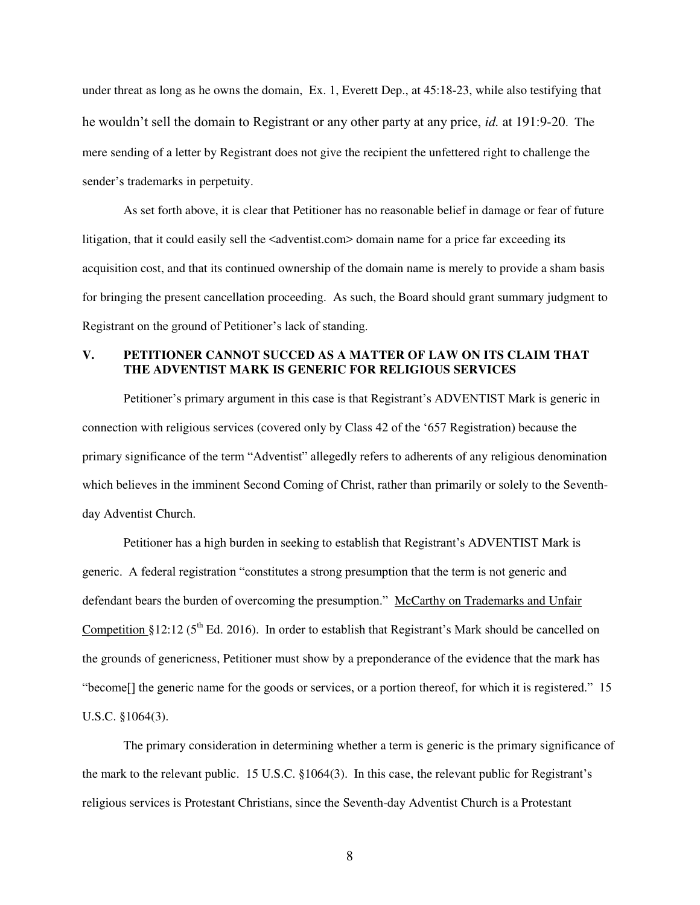under threat as long as he owns the domain, Ex. 1, Everett Dep., at 45:18-23, while also testifying that he wouldn't sell the domain to Registrant or any other party at any price, *id.* at 191:9-20. The mere sending of a letter by Registrant does not give the recipient the unfettered right to challenge the sender's trademarks in perpetuity.

As set forth above, it is clear that Petitioner has no reasonable belief in damage or fear of future litigation, that it could easily sell the <adventist.com> domain name for a price far exceeding its acquisition cost, and that its continued ownership of the domain name is merely to provide a sham basis for bringing the present cancellation proceeding. As such, the Board should grant summary judgment to Registrant on the ground of Petitioner's lack of standing.

## **V. PETITIONER CANNOT SUCCED AS A MATTER OF LAW ON ITS CLAIM THAT THE ADVENTIST MARK IS GENERIC FOR RELIGIOUS SERVICES**

Petitioner's primary argument in this case is that Registrant's ADVENTIST Mark is generic in connection with religious services (covered only by Class 42 of the '657 Registration) because the primary significance of the term "Adventist" allegedly refers to adherents of any religious denomination which believes in the imminent Second Coming of Christ, rather than primarily or solely to the Seventhday Adventist Church.

Petitioner has a high burden in seeking to establish that Registrant's ADVENTIST Mark is generic. A federal registration "constitutes a strong presumption that the term is not generic and defendant bears the burden of overcoming the presumption." McCarthy on Trademarks and Unfair Competition §12:12 ( $5<sup>th</sup>$  Ed. 2016). In order to establish that Registrant's Mark should be cancelled on the grounds of genericness, Petitioner must show by a preponderance of the evidence that the mark has "become[] the generic name for the goods or services, or a portion thereof, for which it is registered." 15 U.S.C. §1064(3).

The primary consideration in determining whether a term is generic is the primary significance of the mark to the relevant public. 15 U.S.C. §1064(3). In this case, the relevant public for Registrant's religious services is Protestant Christians, since the Seventh-day Adventist Church is a Protestant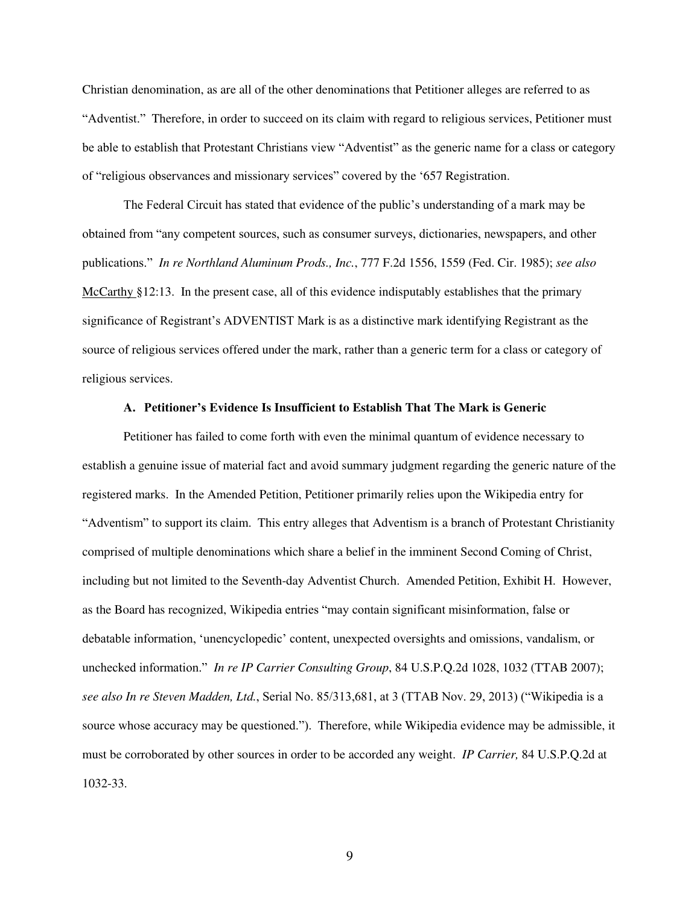Christian denomination, as are all of the other denominations that Petitioner alleges are referred to as "Adventist." Therefore, in order to succeed on its claim with regard to religious services, Petitioner must be able to establish that Protestant Christians view "Adventist" as the generic name for a class or category of "religious observances and missionary services" covered by the '657 Registration.

The Federal Circuit has stated that evidence of the public's understanding of a mark may be obtained from "any competent sources, such as consumer surveys, dictionaries, newspapers, and other publications." *In re Northland Aluminum Prods., Inc.*, 777 F.2d 1556, 1559 (Fed. Cir. 1985); *see also*  McCarthy §12:13. In the present case, all of this evidence indisputably establishes that the primary significance of Registrant's ADVENTIST Mark is as a distinctive mark identifying Registrant as the source of religious services offered under the mark, rather than a generic term for a class or category of religious services.

### **A. Petitioner's Evidence Is Insufficient to Establish That The Mark is Generic**

Petitioner has failed to come forth with even the minimal quantum of evidence necessary to establish a genuine issue of material fact and avoid summary judgment regarding the generic nature of the registered marks. In the Amended Petition, Petitioner primarily relies upon the Wikipedia entry for "Adventism" to support its claim. This entry alleges that Adventism is a branch of Protestant Christianity comprised of multiple denominations which share a belief in the imminent Second Coming of Christ, including but not limited to the Seventh-day Adventist Church. Amended Petition, Exhibit H. However, as the Board has recognized, Wikipedia entries "may contain significant misinformation, false or debatable information, 'unencyclopedic' content, unexpected oversights and omissions, vandalism, or unchecked information." *In re IP Carrier Consulting Group*, 84 U.S.P.Q.2d 1028, 1032 (TTAB 2007); *see also In re Steven Madden, Ltd.*, Serial No. 85/313,681, at 3 (TTAB Nov. 29, 2013) ("Wikipedia is a source whose accuracy may be questioned."). Therefore, while Wikipedia evidence may be admissible, it must be corroborated by other sources in order to be accorded any weight. *IP Carrier,* 84 U.S.P.Q.2d at 1032-33.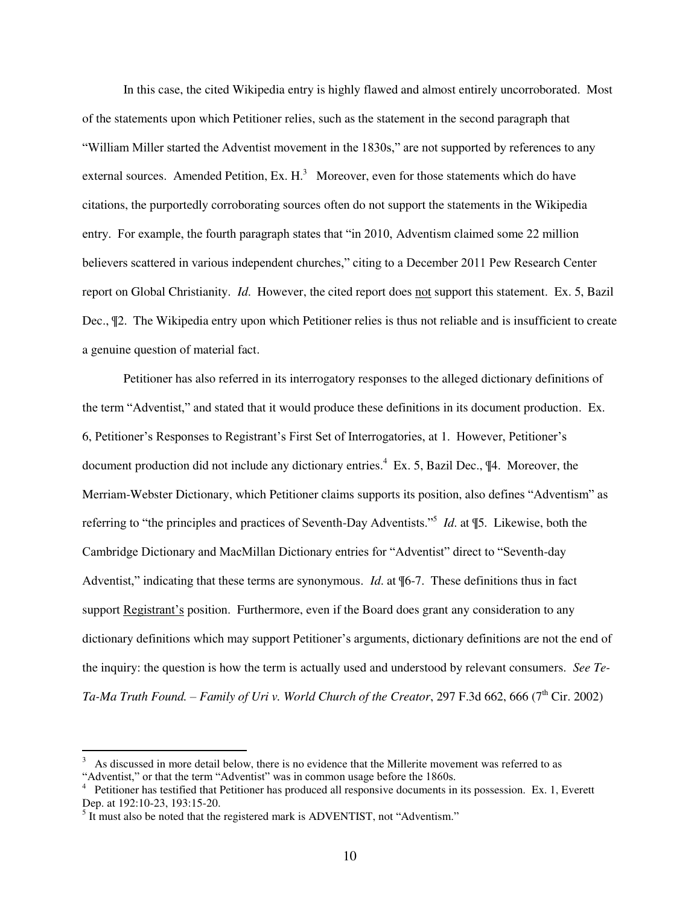In this case, the cited Wikipedia entry is highly flawed and almost entirely uncorroborated. Most of the statements upon which Petitioner relies, such as the statement in the second paragraph that "William Miller started the Adventist movement in the 1830s," are not supported by references to any external sources. Amended Petition, Ex.  $H<sup>3</sup>$  Moreover, even for those statements which do have citations, the purportedly corroborating sources often do not support the statements in the Wikipedia entry. For example, the fourth paragraph states that "in 2010, Adventism claimed some 22 million believers scattered in various independent churches," citing to a December 2011 Pew Research Center report on Global Christianity. *Id*. However, the cited report does not support this statement. Ex. 5, Bazil Dec., ¶2. The Wikipedia entry upon which Petitioner relies is thus not reliable and is insufficient to create a genuine question of material fact.

Petitioner has also referred in its interrogatory responses to the alleged dictionary definitions of the term "Adventist," and stated that it would produce these definitions in its document production. Ex. 6, Petitioner's Responses to Registrant's First Set of Interrogatories, at 1. However, Petitioner's document production did not include any dictionary entries.<sup>4</sup> Ex. 5, Bazil Dec., ¶4. Moreover, the Merriam-Webster Dictionary, which Petitioner claims supports its position, also defines "Adventism" as referring to "the principles and practices of Seventh-Day Adventists."<sup>5</sup> *Id*. at ¶5*.* Likewise, both the Cambridge Dictionary and MacMillan Dictionary entries for "Adventist" direct to "Seventh-day Adventist," indicating that these terms are synonymous. *Id*. at ¶6-7. These definitions thus in fact support Registrant's position. Furthermore, even if the Board does grant any consideration to any dictionary definitions which may support Petitioner's arguments, dictionary definitions are not the end of the inquiry: the question is how the term is actually used and understood by relevant consumers. *See Te-Ta-Ma Truth Found. – Family of Uri v. World Church of the Creator, 297 F.3d 662, 666 (7<sup>th</sup> Cir. 2002)* 

 $\overline{a}$ 

<sup>3</sup> As discussed in more detail below, there is no evidence that the Millerite movement was referred to as "Adventist," or that the term "Adventist" was in common usage before the 1860s.

<sup>&</sup>lt;sup>4</sup> Petitioner has testified that Petitioner has produced all responsive documents in its possession. Ex. 1, Everett Dep. at 192:10-23, 193:15-20.

 $<sup>5</sup>$  It must also be noted that the registered mark is ADVENTIST, not "Adventism."</sup>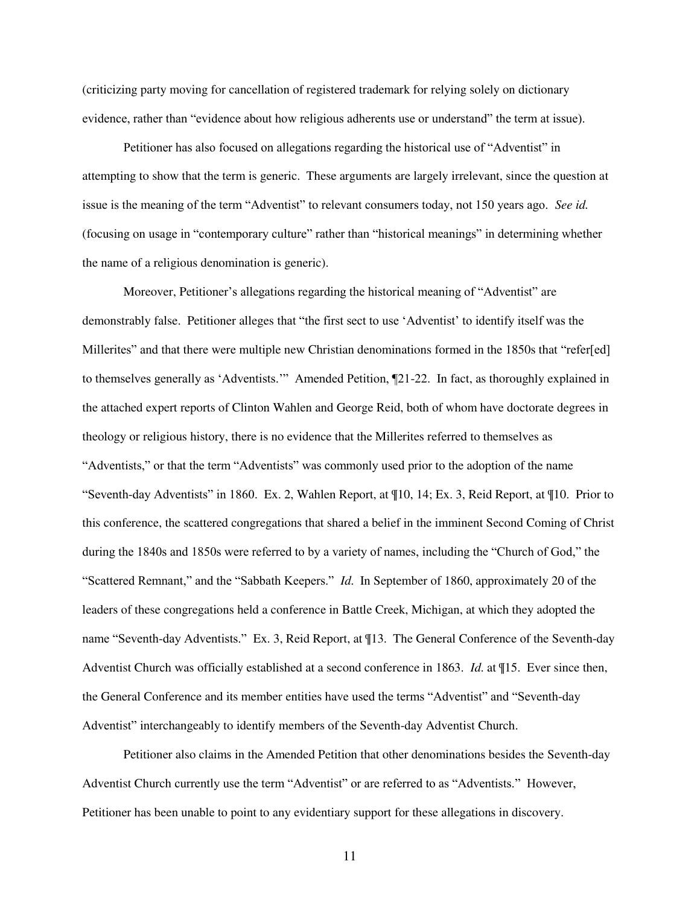(criticizing party moving for cancellation of registered trademark for relying solely on dictionary evidence, rather than "evidence about how religious adherents use or understand" the term at issue).

Petitioner has also focused on allegations regarding the historical use of "Adventist" in attempting to show that the term is generic. These arguments are largely irrelevant, since the question at issue is the meaning of the term "Adventist" to relevant consumers today, not 150 years ago. *See id.* (focusing on usage in "contemporary culture" rather than "historical meanings" in determining whether the name of a religious denomination is generic).

Moreover, Petitioner's allegations regarding the historical meaning of "Adventist" are demonstrably false. Petitioner alleges that "the first sect to use 'Adventist' to identify itself was the Millerites" and that there were multiple new Christian denominations formed in the 1850s that "refer[ed] to themselves generally as 'Adventists.'" Amended Petition, ¶21-22. In fact, as thoroughly explained in the attached expert reports of Clinton Wahlen and George Reid, both of whom have doctorate degrees in theology or religious history, there is no evidence that the Millerites referred to themselves as "Adventists," or that the term "Adventists" was commonly used prior to the adoption of the name "Seventh-day Adventists" in 1860. Ex. 2, Wahlen Report, at ¶10, 14; Ex. 3, Reid Report, at ¶10. Prior to this conference, the scattered congregations that shared a belief in the imminent Second Coming of Christ during the 1840s and 1850s were referred to by a variety of names, including the "Church of God," the "Scattered Remnant," and the "Sabbath Keepers." *Id*. In September of 1860, approximately 20 of the leaders of these congregations held a conference in Battle Creek, Michigan, at which they adopted the name "Seventh-day Adventists." Ex. 3, Reid Report, at ¶13. The General Conference of the Seventh-day Adventist Church was officially established at a second conference in 1863. *Id*. at ¶15. Ever since then, the General Conference and its member entities have used the terms "Adventist" and "Seventh-day Adventist" interchangeably to identify members of the Seventh-day Adventist Church.

 Petitioner also claims in the Amended Petition that other denominations besides the Seventh-day Adventist Church currently use the term "Adventist" or are referred to as "Adventists." However, Petitioner has been unable to point to any evidentiary support for these allegations in discovery.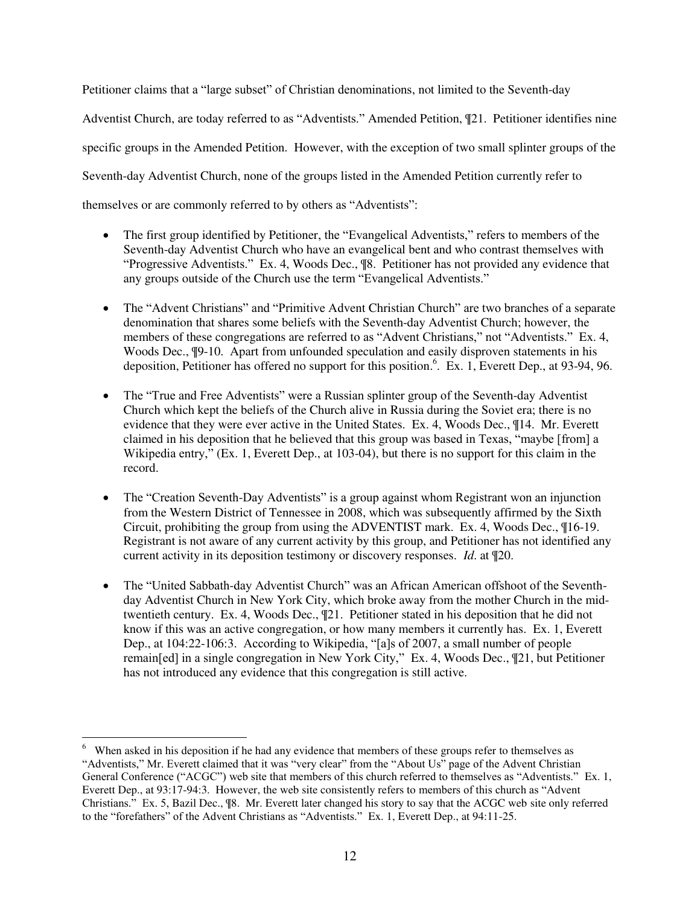Petitioner claims that a "large subset" of Christian denominations, not limited to the Seventh-day Adventist Church, are today referred to as "Adventists." Amended Petition, ¶21. Petitioner identifies nine specific groups in the Amended Petition. However, with the exception of two small splinter groups of the Seventh-day Adventist Church, none of the groups listed in the Amended Petition currently refer to themselves or are commonly referred to by others as "Adventists":

- The first group identified by Petitioner, the "Evangelical Adventists," refers to members of the Seventh-day Adventist Church who have an evangelical bent and who contrast themselves with "Progressive Adventists." Ex. 4, Woods Dec., ¶8. Petitioner has not provided any evidence that any groups outside of the Church use the term "Evangelical Adventists."
- The "Advent Christians" and "Primitive Advent Christian Church" are two branches of a separate denomination that shares some beliefs with the Seventh-day Adventist Church; however, the members of these congregations are referred to as "Advent Christians," not "Adventists." Ex. 4, Woods Dec., ¶9-10. Apart from unfounded speculation and easily disproven statements in his deposition, Petitioner has offered no support for this position.<sup>6</sup>. Ex. 1, Everett Dep., at 93-94, 96.
- The "True and Free Adventists" were a Russian splinter group of the Seventh-day Adventist Church which kept the beliefs of the Church alive in Russia during the Soviet era; there is no evidence that they were ever active in the United States. Ex. 4, Woods Dec., ¶14. Mr. Everett claimed in his deposition that he believed that this group was based in Texas, "maybe [from] a Wikipedia entry," (Ex. 1, Everett Dep., at 103-04), but there is no support for this claim in the record.
- The "Creation Seventh-Day Adventists" is a group against whom Registrant won an injunction from the Western District of Tennessee in 2008, which was subsequently affirmed by the Sixth Circuit, prohibiting the group from using the ADVENTIST mark. Ex. 4, Woods Dec., ¶16-19. Registrant is not aware of any current activity by this group, and Petitioner has not identified any current activity in its deposition testimony or discovery responses. *Id*. at ¶20.
- The "United Sabbath-day Adventist Church" was an African American offshoot of the Seventhday Adventist Church in New York City, which broke away from the mother Church in the midtwentieth century. Ex. 4, Woods Dec., ¶21. Petitioner stated in his deposition that he did not know if this was an active congregation, or how many members it currently has. Ex. 1, Everett Dep., at 104:22-106:3. According to Wikipedia, "[a]s of 2007, a small number of people remain[ed] in a single congregation in New York City," Ex. 4, Woods Dec., ¶21, but Petitioner has not introduced any evidence that this congregation is still active.

<sup>&</sup>lt;sup>6</sup> When asked in his deposition if he had any evidence that members of these groups refer to themselves as "Adventists," Mr. Everett claimed that it was "very clear" from the "About Us" page of the Advent Christian General Conference ("ACGC") web site that members of this church referred to themselves as "Adventists." Ex. 1, Everett Dep., at 93:17-94:3. However, the web site consistently refers to members of this church as "Advent Christians." Ex. 5, Bazil Dec., ¶8. Mr. Everett later changed his story to say that the ACGC web site only referred to the "forefathers" of the Advent Christians as "Adventists." Ex. 1, Everett Dep., at 94:11-25.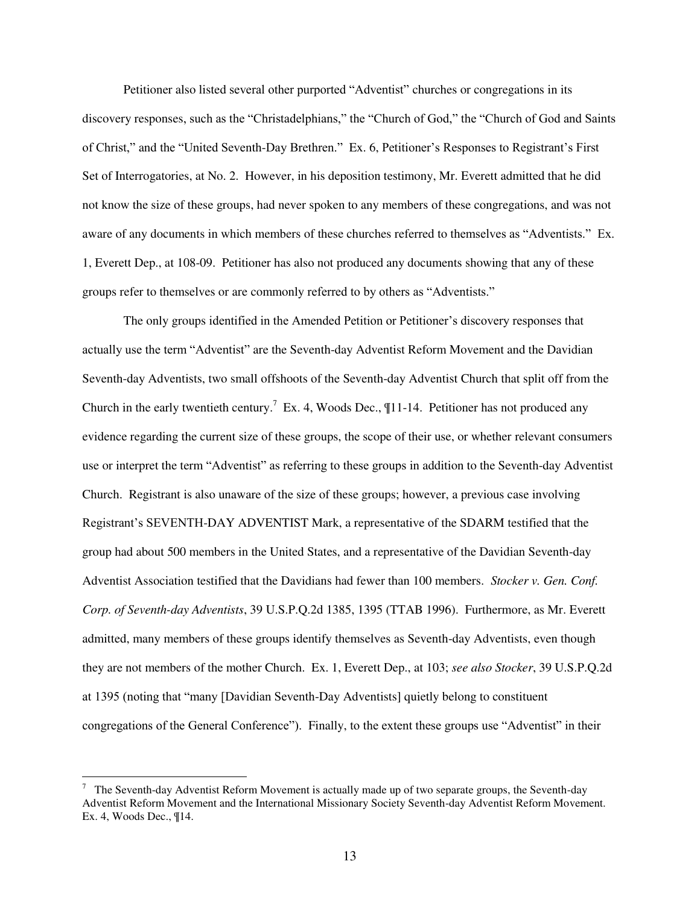Petitioner also listed several other purported "Adventist" churches or congregations in its discovery responses, such as the "Christadelphians," the "Church of God," the "Church of God and Saints of Christ," and the "United Seventh-Day Brethren." Ex. 6, Petitioner's Responses to Registrant's First Set of Interrogatories, at No. 2. However, in his deposition testimony, Mr. Everett admitted that he did not know the size of these groups, had never spoken to any members of these congregations, and was not aware of any documents in which members of these churches referred to themselves as "Adventists." Ex. 1, Everett Dep., at 108-09. Petitioner has also not produced any documents showing that any of these groups refer to themselves or are commonly referred to by others as "Adventists."

The only groups identified in the Amended Petition or Petitioner's discovery responses that actually use the term "Adventist" are the Seventh-day Adventist Reform Movement and the Davidian Seventh-day Adventists, two small offshoots of the Seventh-day Adventist Church that split off from the Church in the early twentieth century.<sup>7</sup> Ex. 4, Woods Dec.,  $\P{11-14}$ . Petitioner has not produced any evidence regarding the current size of these groups, the scope of their use, or whether relevant consumers use or interpret the term "Adventist" as referring to these groups in addition to the Seventh-day Adventist Church. Registrant is also unaware of the size of these groups; however, a previous case involving Registrant's SEVENTH-DAY ADVENTIST Mark, a representative of the SDARM testified that the group had about 500 members in the United States, and a representative of the Davidian Seventh-day Adventist Association testified that the Davidians had fewer than 100 members. *Stocker v. Gen. Conf. Corp. of Seventh-day Adventists*, 39 U.S.P.Q.2d 1385, 1395 (TTAB 1996). Furthermore, as Mr. Everett admitted, many members of these groups identify themselves as Seventh-day Adventists, even though they are not members of the mother Church. Ex. 1, Everett Dep., at 103; *see also Stocker*, 39 U.S.P.Q.2d at 1395 (noting that "many [Davidian Seventh-Day Adventists] quietly belong to constituent congregations of the General Conference"). Finally, to the extent these groups use "Adventist" in their

 $\overline{a}$ 

 $7$  The Seventh-day Adventist Reform Movement is actually made up of two separate groups, the Seventh-day Adventist Reform Movement and the International Missionary Society Seventh-day Adventist Reform Movement. Ex. 4, Woods Dec., ¶14.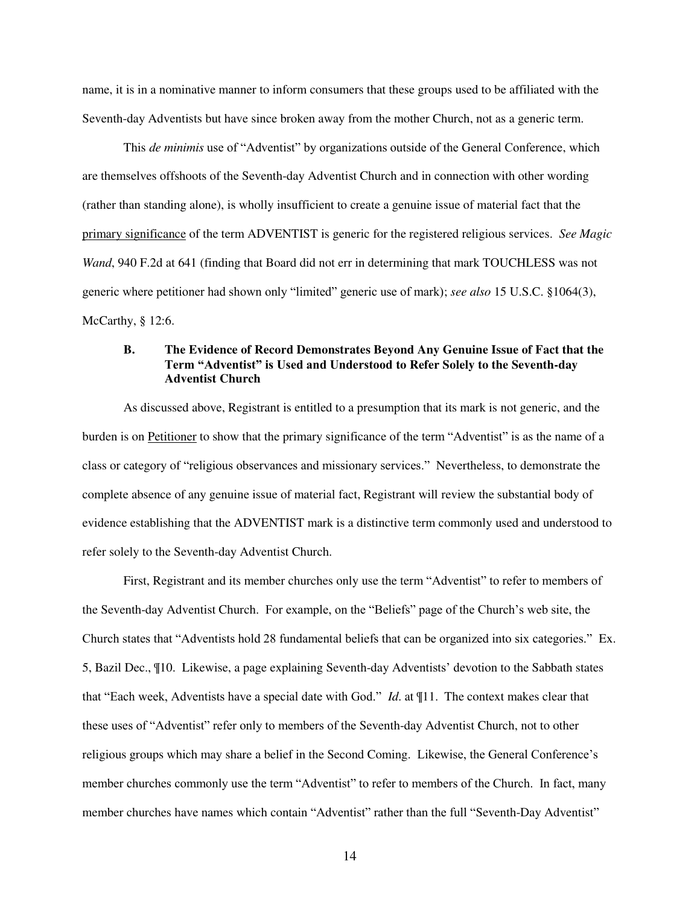name, it is in a nominative manner to inform consumers that these groups used to be affiliated with the Seventh-day Adventists but have since broken away from the mother Church, not as a generic term.

This *de minimis* use of "Adventist" by organizations outside of the General Conference, which are themselves offshoots of the Seventh-day Adventist Church and in connection with other wording (rather than standing alone), is wholly insufficient to create a genuine issue of material fact that the primary significance of the term ADVENTIST is generic for the registered religious services. *See Magic Wand*, 940 F.2d at 641 (finding that Board did not err in determining that mark TOUCHLESS was not generic where petitioner had shown only "limited" generic use of mark); *see also* 15 U.S.C. §1064(3), McCarthy, § 12:6.

### **B. The Evidence of Record Demonstrates Beyond Any Genuine Issue of Fact that the Term "Adventist" is Used and Understood to Refer Solely to the Seventh-day Adventist Church**

As discussed above, Registrant is entitled to a presumption that its mark is not generic, and the burden is on Petitioner to show that the primary significance of the term "Adventist" is as the name of a class or category of "religious observances and missionary services." Nevertheless, to demonstrate the complete absence of any genuine issue of material fact, Registrant will review the substantial body of evidence establishing that the ADVENTIST mark is a distinctive term commonly used and understood to refer solely to the Seventh-day Adventist Church.

First, Registrant and its member churches only use the term "Adventist" to refer to members of the Seventh-day Adventist Church. For example, on the "Beliefs" page of the Church's web site, the Church states that "Adventists hold 28 fundamental beliefs that can be organized into six categories." Ex. 5, Bazil Dec., ¶10. Likewise, a page explaining Seventh-day Adventists' devotion to the Sabbath states that "Each week, Adventists have a special date with God." *Id*. at ¶11. The context makes clear that these uses of "Adventist" refer only to members of the Seventh-day Adventist Church, not to other religious groups which may share a belief in the Second Coming. Likewise, the General Conference's member churches commonly use the term "Adventist" to refer to members of the Church. In fact, many member churches have names which contain "Adventist" rather than the full "Seventh-Day Adventist"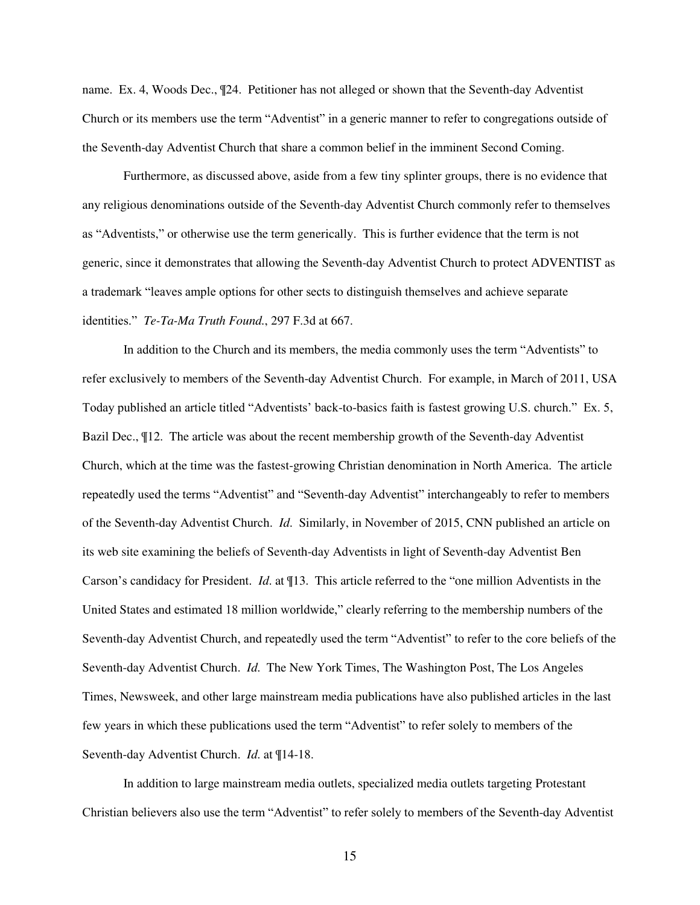name. Ex. 4, Woods Dec., ¶24. Petitioner has not alleged or shown that the Seventh-day Adventist Church or its members use the term "Adventist" in a generic manner to refer to congregations outside of the Seventh-day Adventist Church that share a common belief in the imminent Second Coming.

Furthermore, as discussed above, aside from a few tiny splinter groups, there is no evidence that any religious denominations outside of the Seventh-day Adventist Church commonly refer to themselves as "Adventists," or otherwise use the term generically. This is further evidence that the term is not generic, since it demonstrates that allowing the Seventh-day Adventist Church to protect ADVENTIST as a trademark "leaves ample options for other sects to distinguish themselves and achieve separate identities." *Te-Ta-Ma Truth Found.*, 297 F.3d at 667.

In addition to the Church and its members, the media commonly uses the term "Adventists" to refer exclusively to members of the Seventh-day Adventist Church. For example, in March of 2011, USA Today published an article titled "Adventists' back-to-basics faith is fastest growing U.S. church." Ex. 5, Bazil Dec., ¶12. The article was about the recent membership growth of the Seventh-day Adventist Church, which at the time was the fastest-growing Christian denomination in North America. The article repeatedly used the terms "Adventist" and "Seventh-day Adventist" interchangeably to refer to members of the Seventh-day Adventist Church. *Id*. Similarly, in November of 2015, CNN published an article on its web site examining the beliefs of Seventh-day Adventists in light of Seventh-day Adventist Ben Carson's candidacy for President. *Id*. at ¶13. This article referred to the "one million Adventists in the United States and estimated 18 million worldwide," clearly referring to the membership numbers of the Seventh-day Adventist Church, and repeatedly used the term "Adventist" to refer to the core beliefs of the Seventh-day Adventist Church. *Id*. The New York Times, The Washington Post, The Los Angeles Times, Newsweek, and other large mainstream media publications have also published articles in the last few years in which these publications used the term "Adventist" to refer solely to members of the Seventh-day Adventist Church. *Id*. at ¶14-18.

In addition to large mainstream media outlets, specialized media outlets targeting Protestant Christian believers also use the term "Adventist" to refer solely to members of the Seventh-day Adventist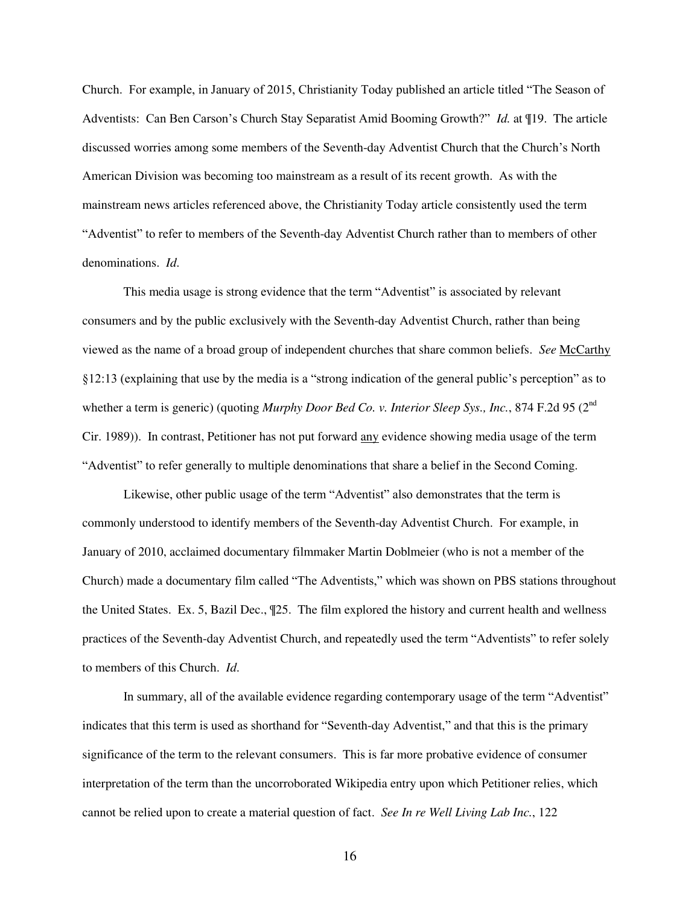Church. For example, in January of 2015, Christianity Today published an article titled "The Season of Adventists: Can Ben Carson's Church Stay Separatist Amid Booming Growth?" *Id.* at ¶19. The article discussed worries among some members of the Seventh-day Adventist Church that the Church's North American Division was becoming too mainstream as a result of its recent growth. As with the mainstream news articles referenced above, the Christianity Today article consistently used the term "Adventist" to refer to members of the Seventh-day Adventist Church rather than to members of other denominations. *Id*.

This media usage is strong evidence that the term "Adventist" is associated by relevant consumers and by the public exclusively with the Seventh-day Adventist Church, rather than being viewed as the name of a broad group of independent churches that share common beliefs. *See* McCarthy §12:13 (explaining that use by the media is a "strong indication of the general public's perception" as to whether a term is generic) (quoting *Murphy Door Bed Co. v. Interior Sleep Sys., Inc.*, 874 F.2d 95 (2<sup>nd</sup>) Cir. 1989)). In contrast, Petitioner has not put forward any evidence showing media usage of the term "Adventist" to refer generally to multiple denominations that share a belief in the Second Coming.

Likewise, other public usage of the term "Adventist" also demonstrates that the term is commonly understood to identify members of the Seventh-day Adventist Church. For example, in January of 2010, acclaimed documentary filmmaker Martin Doblmeier (who is not a member of the Church) made a documentary film called "The Adventists," which was shown on PBS stations throughout the United States. Ex. 5, Bazil Dec., ¶25. The film explored the history and current health and wellness practices of the Seventh-day Adventist Church, and repeatedly used the term "Adventists" to refer solely to members of this Church. *Id*.

In summary, all of the available evidence regarding contemporary usage of the term "Adventist" indicates that this term is used as shorthand for "Seventh-day Adventist," and that this is the primary significance of the term to the relevant consumers. This is far more probative evidence of consumer interpretation of the term than the uncorroborated Wikipedia entry upon which Petitioner relies, which cannot be relied upon to create a material question of fact. *See In re Well Living Lab Inc.*, 122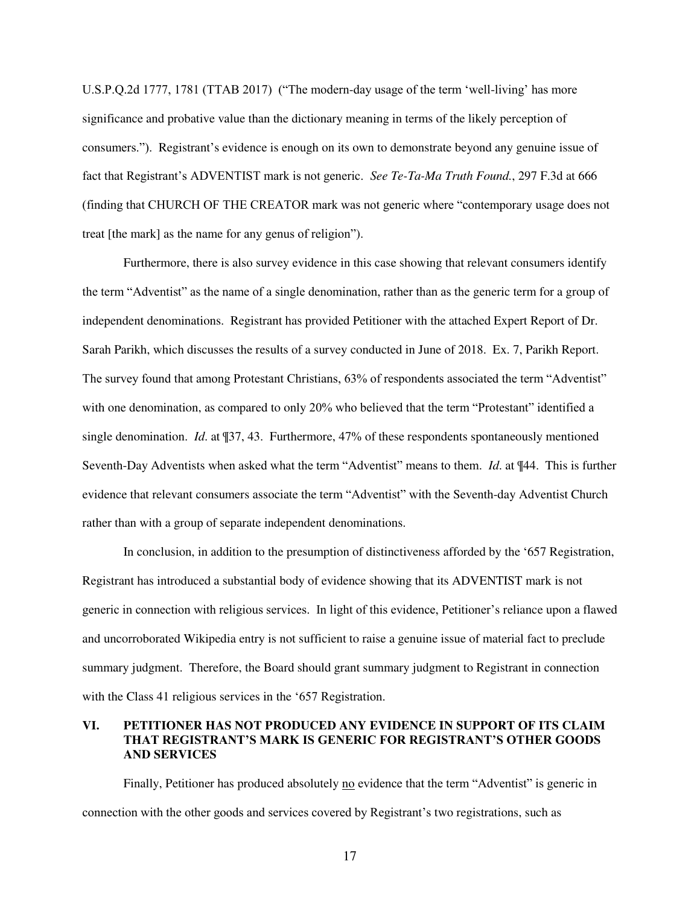U.S.P.Q.2d 1777, 1781 (TTAB 2017) ("The modern-day usage of the term 'well-living' has more significance and probative value than the dictionary meaning in terms of the likely perception of consumers."). Registrant's evidence is enough on its own to demonstrate beyond any genuine issue of fact that Registrant's ADVENTIST mark is not generic. *See Te-Ta-Ma Truth Found.*, 297 F.3d at 666 (finding that CHURCH OF THE CREATOR mark was not generic where "contemporary usage does not treat [the mark] as the name for any genus of religion").

Furthermore, there is also survey evidence in this case showing that relevant consumers identify the term "Adventist" as the name of a single denomination, rather than as the generic term for a group of independent denominations. Registrant has provided Petitioner with the attached Expert Report of Dr. Sarah Parikh, which discusses the results of a survey conducted in June of 2018. Ex. 7, Parikh Report. The survey found that among Protestant Christians, 63% of respondents associated the term "Adventist" with one denomination, as compared to only 20% who believed that the term "Protestant" identified a single denomination. *Id*. at ¶37, 43. Furthermore, 47% of these respondents spontaneously mentioned Seventh-Day Adventists when asked what the term "Adventist" means to them. *Id*. at ¶44. This is further evidence that relevant consumers associate the term "Adventist" with the Seventh-day Adventist Church rather than with a group of separate independent denominations.

In conclusion, in addition to the presumption of distinctiveness afforded by the '657 Registration, Registrant has introduced a substantial body of evidence showing that its ADVENTIST mark is not generic in connection with religious services. In light of this evidence, Petitioner's reliance upon a flawed and uncorroborated Wikipedia entry is not sufficient to raise a genuine issue of material fact to preclude summary judgment. Therefore, the Board should grant summary judgment to Registrant in connection with the Class 41 religious services in the '657 Registration.

### **VI. PETITIONER HAS NOT PRODUCED ANY EVIDENCE IN SUPPORT OF ITS CLAIM THAT REGISTRANT'S MARK IS GENERIC FOR REGISTRANT'S OTHER GOODS AND SERVICES**

Finally, Petitioner has produced absolutely no evidence that the term "Adventist" is generic in connection with the other goods and services covered by Registrant's two registrations, such as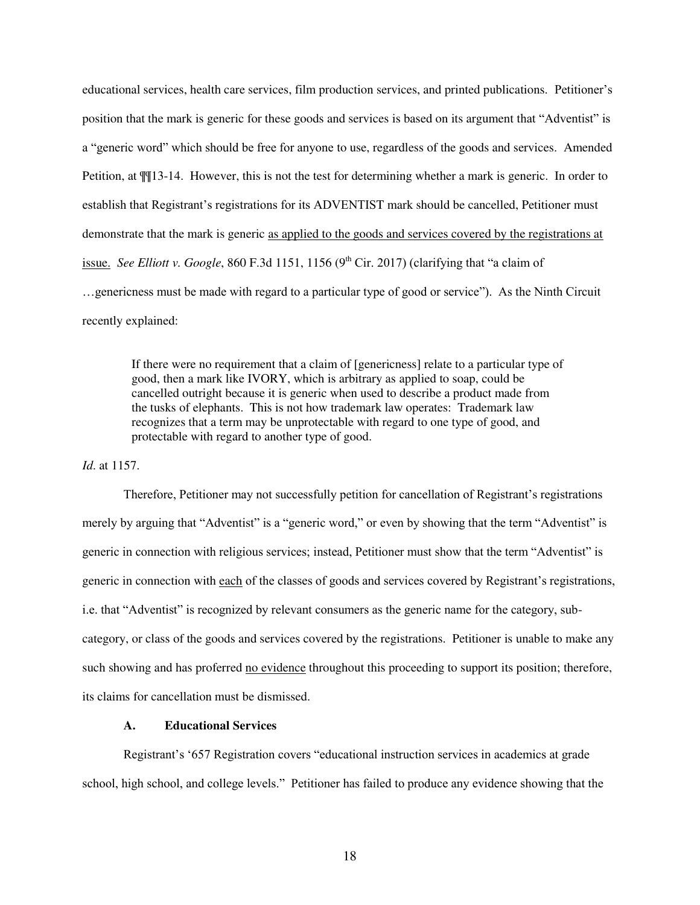educational services, health care services, film production services, and printed publications. Petitioner's position that the mark is generic for these goods and services is based on its argument that "Adventist" is a "generic word" which should be free for anyone to use, regardless of the goods and services. Amended Petition, at ¶¶13-14. However, this is not the test for determining whether a mark is generic. In order to establish that Registrant's registrations for its ADVENTIST mark should be cancelled, Petitioner must demonstrate that the mark is generic as applied to the goods and services covered by the registrations at issue. *See Elliott v. Google*, 860 F.3d 1151, 1156 (9<sup>th</sup> Cir. 2017) (clarifying that "a claim of …genericness must be made with regard to a particular type of good or service"). As the Ninth Circuit recently explained:

If there were no requirement that a claim of [genericness] relate to a particular type of good, then a mark like IVORY, which is arbitrary as applied to soap, could be cancelled outright because it is generic when used to describe a product made from the tusks of elephants. This is not how trademark law operates: Trademark law recognizes that a term may be unprotectable with regard to one type of good, and protectable with regard to another type of good.

### *Id*. at 1157.

Therefore, Petitioner may not successfully petition for cancellation of Registrant's registrations merely by arguing that "Adventist" is a "generic word," or even by showing that the term "Adventist" is generic in connection with religious services; instead, Petitioner must show that the term "Adventist" is generic in connection with each of the classes of goods and services covered by Registrant's registrations, i.e. that "Adventist" is recognized by relevant consumers as the generic name for the category, subcategory, or class of the goods and services covered by the registrations. Petitioner is unable to make any such showing and has proferred no evidence throughout this proceeding to support its position; therefore, its claims for cancellation must be dismissed.

### **A. Educational Services**

Registrant's '657 Registration covers "educational instruction services in academics at grade school, high school, and college levels." Petitioner has failed to produce any evidence showing that the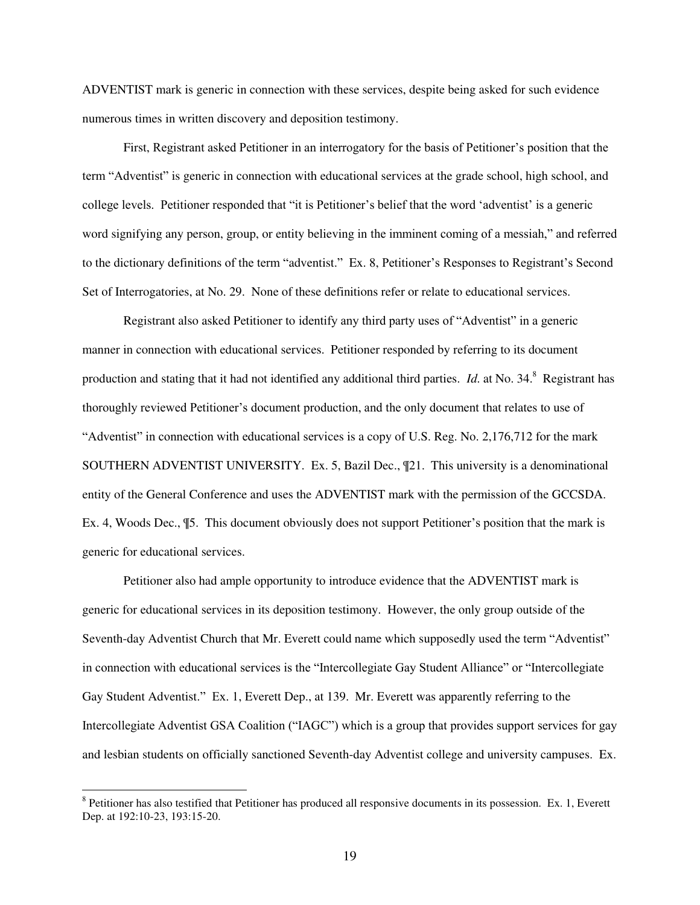ADVENTIST mark is generic in connection with these services, despite being asked for such evidence numerous times in written discovery and deposition testimony.

First, Registrant asked Petitioner in an interrogatory for the basis of Petitioner's position that the term "Adventist" is generic in connection with educational services at the grade school, high school, and college levels. Petitioner responded that "it is Petitioner's belief that the word 'adventist' is a generic word signifying any person, group, or entity believing in the imminent coming of a messiah," and referred to the dictionary definitions of the term "adventist." Ex. 8, Petitioner's Responses to Registrant's Second Set of Interrogatories, at No. 29. None of these definitions refer or relate to educational services.

Registrant also asked Petitioner to identify any third party uses of "Adventist" in a generic manner in connection with educational services. Petitioner responded by referring to its document production and stating that it had not identified any additional third parties. *Id.* at No. 34.<sup>8</sup> Registrant has thoroughly reviewed Petitioner's document production, and the only document that relates to use of "Adventist" in connection with educational services is a copy of U.S. Reg. No. 2,176,712 for the mark SOUTHERN ADVENTIST UNIVERSITY. Ex. 5, Bazil Dec., ¶21. This university is a denominational entity of the General Conference and uses the ADVENTIST mark with the permission of the GCCSDA. Ex. 4, Woods Dec., ¶5. This document obviously does not support Petitioner's position that the mark is generic for educational services.

Petitioner also had ample opportunity to introduce evidence that the ADVENTIST mark is generic for educational services in its deposition testimony. However, the only group outside of the Seventh-day Adventist Church that Mr. Everett could name which supposedly used the term "Adventist" in connection with educational services is the "Intercollegiate Gay Student Alliance" or "Intercollegiate Gay Student Adventist." Ex. 1, Everett Dep., at 139. Mr. Everett was apparently referring to the Intercollegiate Adventist GSA Coalition ("IAGC") which is a group that provides support services for gay and lesbian students on officially sanctioned Seventh-day Adventist college and university campuses. Ex.

<sup>&</sup>lt;sup>8</sup> Petitioner has also testified that Petitioner has produced all responsive documents in its possession. Ex. 1, Everett Dep. at 192:10-23, 193:15-20.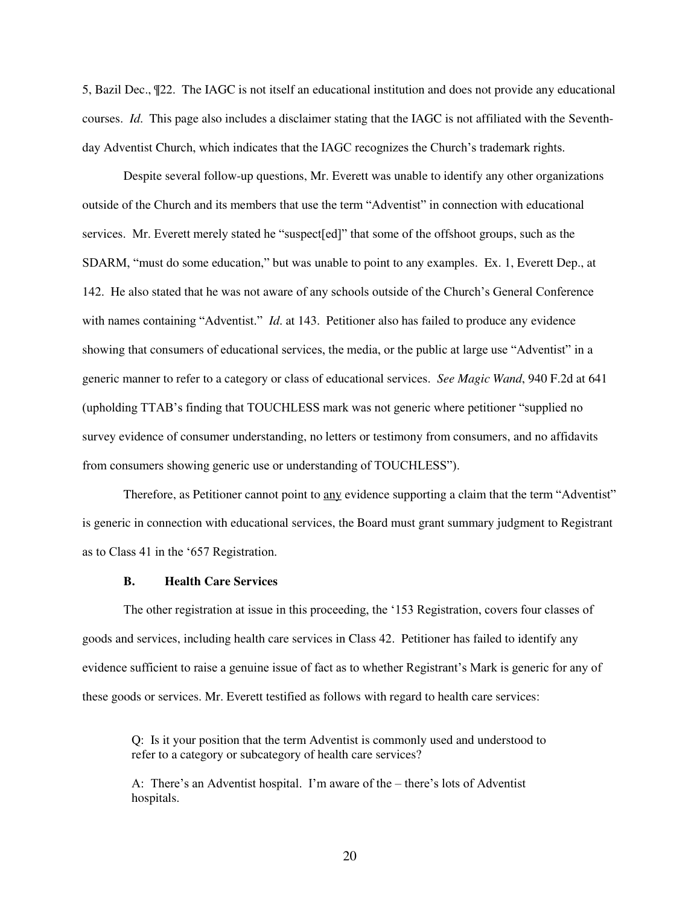5, Bazil Dec., ¶22. The IAGC is not itself an educational institution and does not provide any educational courses. *Id*. This page also includes a disclaimer stating that the IAGC is not affiliated with the Seventhday Adventist Church, which indicates that the IAGC recognizes the Church's trademark rights.

Despite several follow-up questions, Mr. Everett was unable to identify any other organizations outside of the Church and its members that use the term "Adventist" in connection with educational services. Mr. Everett merely stated he "suspect[ed]" that some of the offshoot groups, such as the SDARM, "must do some education," but was unable to point to any examples. Ex. 1, Everett Dep., at 142. He also stated that he was not aware of any schools outside of the Church's General Conference with names containing "Adventist." *Id.* at 143. Petitioner also has failed to produce any evidence showing that consumers of educational services, the media, or the public at large use "Adventist" in a generic manner to refer to a category or class of educational services. *See Magic Wand*, 940 F.2d at 641 (upholding TTAB's finding that TOUCHLESS mark was not generic where petitioner "supplied no survey evidence of consumer understanding, no letters or testimony from consumers, and no affidavits from consumers showing generic use or understanding of TOUCHLESS").

Therefore, as Petitioner cannot point to any evidence supporting a claim that the term "Adventist" is generic in connection with educational services, the Board must grant summary judgment to Registrant as to Class 41 in the '657 Registration.

### **B. Health Care Services**

The other registration at issue in this proceeding, the '153 Registration, covers four classes of goods and services, including health care services in Class 42. Petitioner has failed to identify any evidence sufficient to raise a genuine issue of fact as to whether Registrant's Mark is generic for any of these goods or services. Mr. Everett testified as follows with regard to health care services:

Q: Is it your position that the term Adventist is commonly used and understood to refer to a category or subcategory of health care services?

A: There's an Adventist hospital. I'm aware of the – there's lots of Adventist hospitals.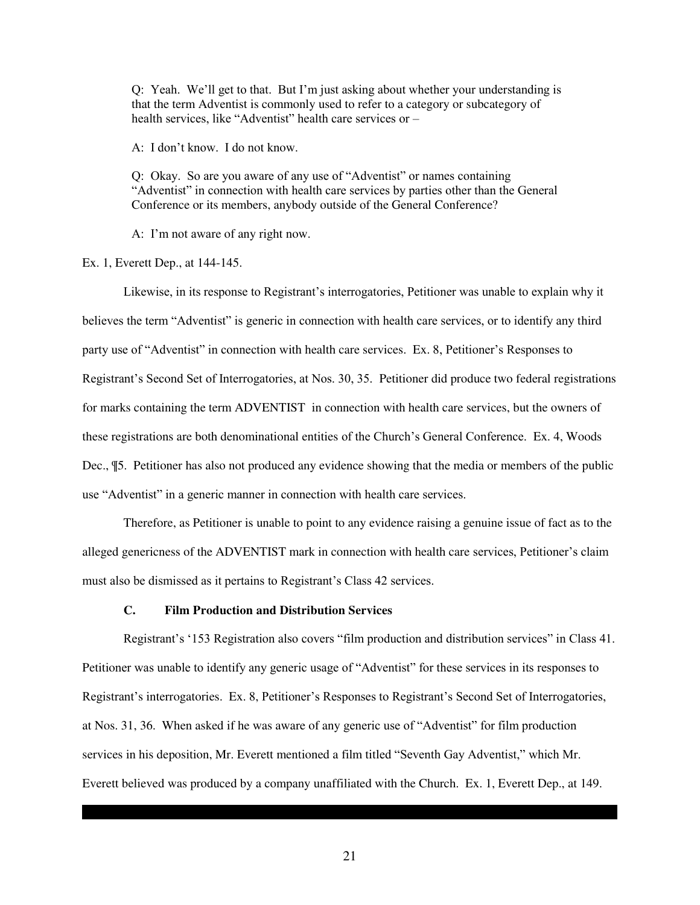Q: Yeah. We'll get to that. But I'm just asking about whether your understanding is that the term Adventist is commonly used to refer to a category or subcategory of health services, like "Adventist" health care services or –

A: I don't know. I do not know.

Q: Okay. So are you aware of any use of "Adventist" or names containing "Adventist" in connection with health care services by parties other than the General Conference or its members, anybody outside of the General Conference?

A: I'm not aware of any right now.

Ex. 1, Everett Dep., at 144-145.

Likewise, in its response to Registrant's interrogatories, Petitioner was unable to explain why it believes the term "Adventist" is generic in connection with health care services, or to identify any third party use of "Adventist" in connection with health care services. Ex. 8, Petitioner's Responses to Registrant's Second Set of Interrogatories, at Nos. 30, 35. Petitioner did produce two federal registrations for marks containing the term ADVENTIST in connection with health care services, but the owners of these registrations are both denominational entities of the Church's General Conference. Ex. 4, Woods Dec., ¶5. Petitioner has also not produced any evidence showing that the media or members of the public use "Adventist" in a generic manner in connection with health care services.

Therefore, as Petitioner is unable to point to any evidence raising a genuine issue of fact as to the alleged genericness of the ADVENTIST mark in connection with health care services, Petitioner's claim must also be dismissed as it pertains to Registrant's Class 42 services.

### **C. Film Production and Distribution Services**

Registrant's '153 Registration also covers "film production and distribution services" in Class 41. Petitioner was unable to identify any generic usage of "Adventist" for these services in its responses to Registrant's interrogatories. Ex. 8, Petitioner's Responses to Registrant's Second Set of Interrogatories, at Nos. 31, 36. When asked if he was aware of any generic use of "Adventist" for film production services in his deposition, Mr. Everett mentioned a film titled "Seventh Gay Adventist," which Mr. Everett believed was produced by a company unaffiliated with the Church. Ex. 1, Everett Dep., at 149.

21

 ${{\rm H}_\mathrm{G}}$  has entered into an Agreement with the producers of this film allowing the producers of this film allowing them to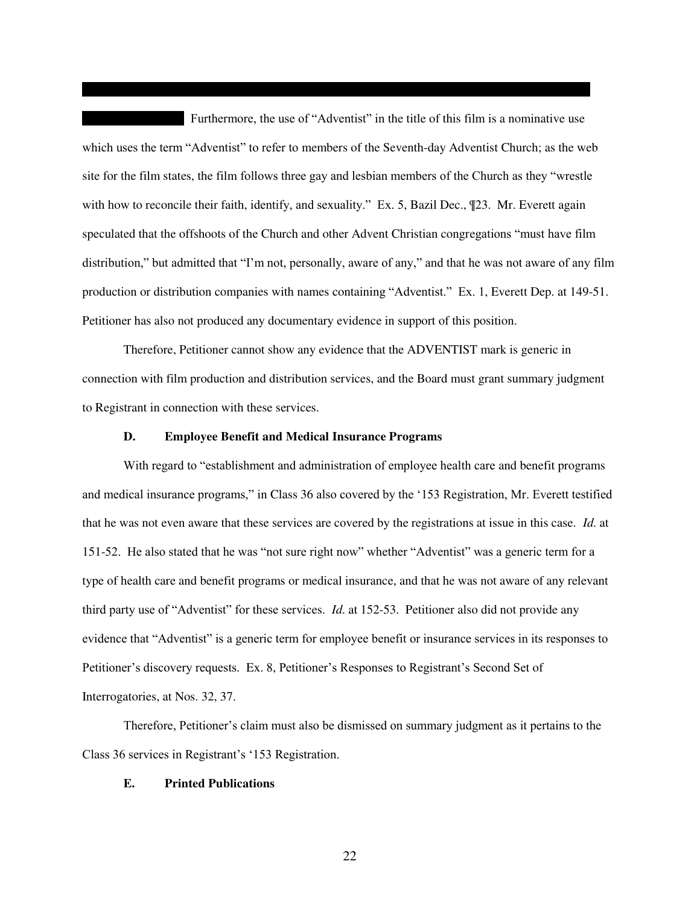Furthermore, the use of "Adventist" in the title of this film is a nominative use which uses the term "Adventist" to refer to members of the Seventh-day Adventist Church; as the web site for the film states, the film follows three gay and lesbian members of the Church as they "wrestle with how to reconcile their faith, identify, and sexuality." Ex. 5, Bazil Dec.,  $\mathcal{P}23$ . Mr. Everett again speculated that the offshoots of the Church and other Advent Christian congregations "must have film distribution," but admitted that "I'm not, personally, aware of any," and that he was not aware of any film production or distribution companies with names containing "Adventist." Ex. 1, Everett Dep. at 149-51. Petitioner has also not produced any documentary evidence in support of this position.

use the name "Seventh Gay Adventist" provided that they included an appropriate disclaimer. Ex. 4,

Therefore, Petitioner cannot show any evidence that the ADVENTIST mark is generic in connection with film production and distribution services, and the Board must grant summary judgment to Registrant in connection with these services.

### **D. Employee Benefit and Medical Insurance Programs**

With regard to "establishment and administration of employee health care and benefit programs and medical insurance programs," in Class 36 also covered by the '153 Registration, Mr. Everett testified that he was not even aware that these services are covered by the registrations at issue in this case. *Id*. at 151-52. He also stated that he was "not sure right now" whether "Adventist" was a generic term for a type of health care and benefit programs or medical insurance, and that he was not aware of any relevant third party use of "Adventist" for these services. *Id*. at 152-53. Petitioner also did not provide any evidence that "Adventist" is a generic term for employee benefit or insurance services in its responses to Petitioner's discovery requests. Ex. 8, Petitioner's Responses to Registrant's Second Set of Interrogatories, at Nos. 32, 37.

Therefore, Petitioner's claim must also be dismissed on summary judgment as it pertains to the Class 36 services in Registrant's '153 Registration.

### **E. Printed Publications**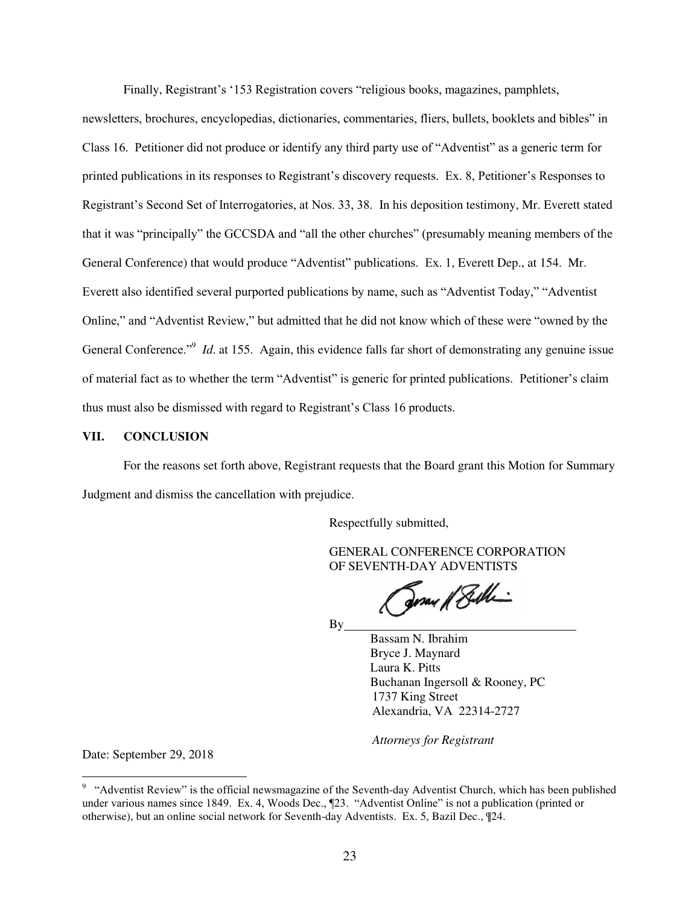Finally, Registrant's '153 Registration covers "religious books, magazines, pamphlets,

newsletters, brochures, encyclopedias, dictionaries, commentaries, fliers, bullets, booklets and bibles" in Class 16. Petitioner did not produce or identify any third party use of "Adventist" as a generic term for printed publications in its responses to Registrant's discovery requests. Ex. 8, Petitioner's Responses to Registrant's Second Set of Interrogatories, at Nos. 33, 38. In his deposition testimony, Mr. Everett stated that it was "principally" the GCCSDA and "all the other churches" (presumably meaning members of the General Conference) that would produce "Adventist" publications. Ex. 1, Everett Dep., at 154. Mr. Everett also identified several purported publications by name, such as "Adventist Today," "Adventist Online," and "Adventist Review," but admitted that he did not know which of these were "owned by the General Conference."<sup>9</sup> *Id.* at 155. Again, this evidence falls far short of demonstrating any genuine issue of material fact as to whether the term "Adventist" is generic for printed publications. Petitioner's claim thus must also be dismissed with regard to Registrant's Class 16 products.

## **VII. CONCLUSION**

 For the reasons set forth above, Registrant requests that the Board grant this Motion for Summary Judgment and dismiss the cancellation with prejudice.

Respectfully submitted,

 GENERAL CONFERENCE CORPORATION OF SEVENTH-DAY ADVENTISTS

Fray / Bille

By

 Bassam N. Ibrahim Bryce J. Maynard Laura K. Pitts Buchanan Ingersoll & Rooney, PC 1737 King Street Alexandria, VA 22314-2727

*Attorneys for Registrant*

Date: September 29, 2018

 $\overline{a}$ 

<sup>&</sup>lt;sup>9</sup> "Adventist Review" is the official newsmagazine of the Seventh-day Adventist Church, which has been published under various names since 1849. Ex. 4, Woods Dec., ¶23. "Adventist Online" is not a publication (printed or otherwise), but an online social network for Seventh-day Adventists. Ex. 5, Bazil Dec., ¶24.